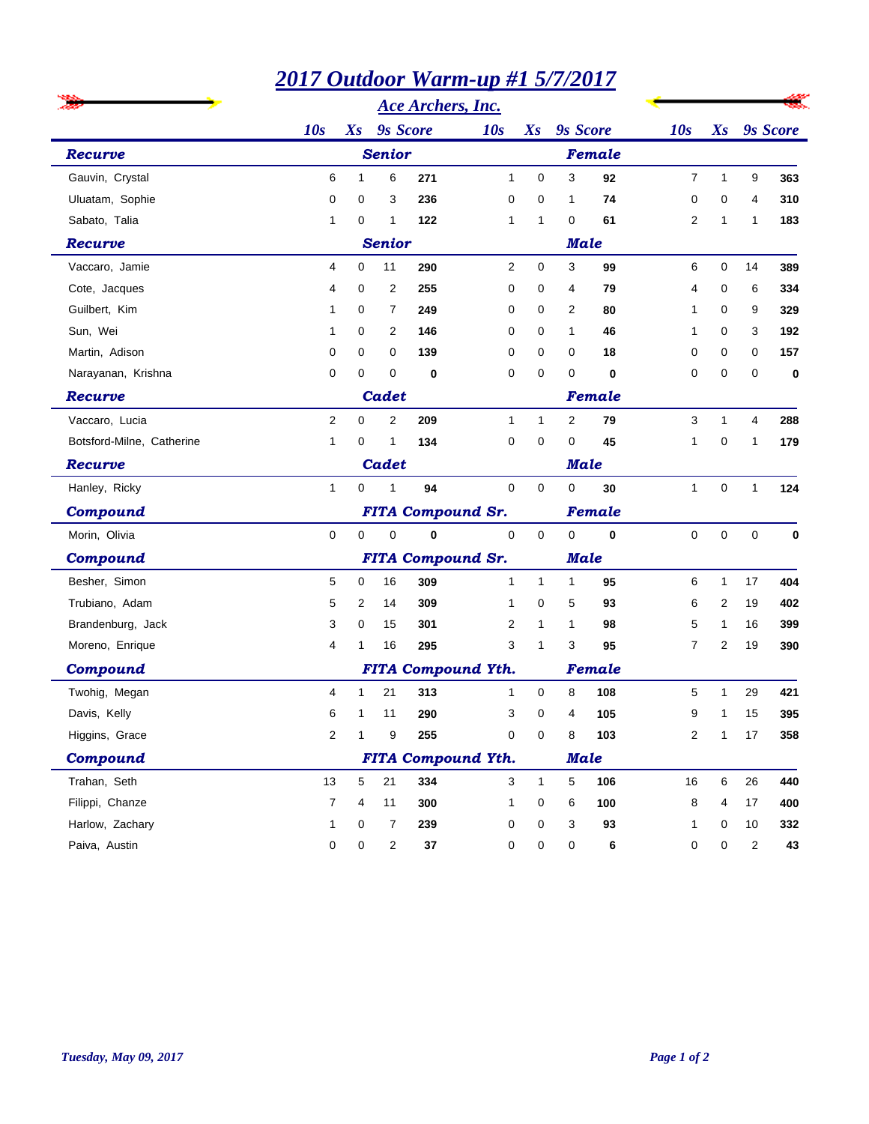|                           |                                    | 2017 Outdoor Warm-up #1 5/7/2017    |                 |          |                           |              |             |             |             |              |             |                 |  |  |
|---------------------------|------------------------------------|-------------------------------------|-----------------|----------|---------------------------|--------------|-------------|-------------|-------------|--------------|-------------|-----------------|--|--|
|                           |                                    | <b>Ace Archers, Inc.</b>            |                 |          |                           |              |             |             |             |              |             |                 |  |  |
|                           | 10s                                | $X_{S}$                             | <b>9s</b> Score |          | 10s                       |              | Xs 9s Score |             | 10s         | $X_{S}$      |             | <b>9s</b> Score |  |  |
| Recurve                   |                                    |                                     | <b>Senior</b>   |          |                           |              |             | Female      |             |              |             |                 |  |  |
| Gauvin, Crystal           | 6                                  | 1                                   | 6               | 271      | $\mathbf{1}$              | 0            | 3           | 92          | 7           | $\mathbf{1}$ | 9           | 363             |  |  |
| Uluatam, Sophie           | 0                                  | 0                                   | 3               | 236      | 0                         | 0            | 1           | 74          | 0           | 0            | 4           | 310             |  |  |
| Sabato, Talia             | 1                                  | 0                                   | 1               | 122      | 1                         | 1            | 0           | 61          | 2           | 1            | 1           | 183             |  |  |
| Recurve                   | <b>Senior</b>                      |                                     |                 |          |                           |              |             | <b>Male</b> |             |              |             |                 |  |  |
| Vaccaro, Jamie            | 4                                  | 0                                   | 11              | 290      | $\overline{2}$            | 0            | 3           | 99          | 6           | 0            | 14          | 389             |  |  |
| Cote, Jacques             | 4                                  | 0                                   | 2               | 255      | 0                         | 0            | 4           | 79          | 4           | 0            | 6           | 334             |  |  |
| Guilbert, Kim             | 1                                  | 0                                   | 7               | 249      | 0                         | 0            | 2           | 80          | 1           | 0            | 9           | 329             |  |  |
| Sun, Wei                  | 1                                  | 0                                   | 2               | 146      | 0                         | 0            | 1           | 46          | 1           | 0            | 3           | 192             |  |  |
| Martin, Adison            | 0                                  | 0                                   | 0               | 139      | 0                         | 0            | 0           | 18          | 0           | 0            | 0           | 157             |  |  |
| Narayanan, Krishna        | 0                                  | 0                                   | 0               | 0        | 0                         | 0            | 0           | $\bf{0}$    | 0           | 0            | 0           | 0               |  |  |
| Recurve                   |                                    | Cadet                               |                 |          |                           |              |             | Female      |             |              |             |                 |  |  |
| Vaccaro, Lucia            | $\overline{2}$                     | 0                                   | 2               | 209      | $\mathbf{1}$              | $\mathbf{1}$ | 2           | 79          | 3           | $\mathbf{1}$ | 4           | 288             |  |  |
| Botsford-Milne, Catherine | 1                                  | 0                                   | 1               | 134      | 0                         | 0            | 0           | 45          | 1           | 0            | 1           | 179             |  |  |
| Recurve                   | Cadet                              |                                     |                 |          |                           |              |             | Male        |             |              |             |                 |  |  |
| Hanley, Ricky             | $\mathbf{1}$                       | 0                                   | 1               | 94       | $\mathbf 0$               | 0            | 0           | 30          | 1           | 0            | 1           | 124             |  |  |
| Compound                  | <b>FITA Compound Sr.</b><br>Female |                                     |                 |          |                           |              |             |             |             |              |             |                 |  |  |
| Morin, Olivia             | 0                                  | $\mathbf 0$                         | $\mathbf 0$     | $\bf{0}$ | $\mathbf 0$               | $\mathbf 0$  | $\mathbf 0$ | $\mathbf 0$ | $\mathbf 0$ | 0            | $\mathbf 0$ | 0               |  |  |
| Compound                  |                                    | <b>FITA Compound Sr.</b><br>Male    |                 |          |                           |              |             |             |             |              |             |                 |  |  |
| Besher, Simon             | 5                                  | 0                                   | 16              | 309      | $\mathbf{1}$              | $\mathbf{1}$ | 1           | 95          | 6           | $\mathbf{1}$ | 17          | 404             |  |  |
| Trubiano, Adam            | 5                                  | 2                                   | 14              | 309      | 1                         | 0            | 5           | 93          | 6           | 2            | 19          | 402             |  |  |
| Brandenburg, Jack         | 3                                  | 0                                   | 15              | 301      | 2                         | 1            | 1           | 98          | 5           | 1            | 16          | 399             |  |  |
| Moreno, Enrique           | 4                                  | 1                                   | 16              | 295      | 3                         | 1            | 3           | 95          | 7           | 2            | 19          | 390             |  |  |
| Compound                  |                                    | <b>FITA Compound Yth.</b><br>Female |                 |          |                           |              |             |             |             |              |             |                 |  |  |
| Twohig, Megan             | 4                                  | 1                                   | 21              | 313      | 1                         | 0            | 8           | 108         | 5           | $\mathbf{1}$ | 29          | 421             |  |  |
| Davis, Kelly              | 6                                  | 1                                   | 11              | 290      | 3                         | 0            | 4           | 105         | 9           | 1            | 15          | 395             |  |  |
| Higgins, Grace            | $\overline{c}$                     | 1                                   | 9               | 255      | 0                         | 0            | 8           | 103         | 2           | 1            | $17$        | 358             |  |  |
| Compound                  |                                    |                                     |                 |          | <b>FITA Compound Yth.</b> |              |             | <b>Male</b> |             |              |             |                 |  |  |
| Trahan, Seth              | 13                                 | $\sqrt{5}$                          | 21              | 334      | 3                         | $\mathbf{1}$ | 5           | 106         | 16          | 6            | 26          | 440             |  |  |
| Filippi, Chanze           | $\overline{7}$                     | 4                                   | 11              | 300      | 1                         | 0            | 6           | 100         | 8           | 4            | 17          | 400             |  |  |
| Harlow, Zachary           | 1                                  | 0                                   | 7               | 239      | 0                         | 0            | 3           | 93          | 1           | 0            | 10          | 332             |  |  |
| Paiva, Austin             | 0                                  | 0                                   | $\overline{c}$  | 37       | 0                         | 0            | 0           | 6           | 0           | 0            | 2           | 43              |  |  |